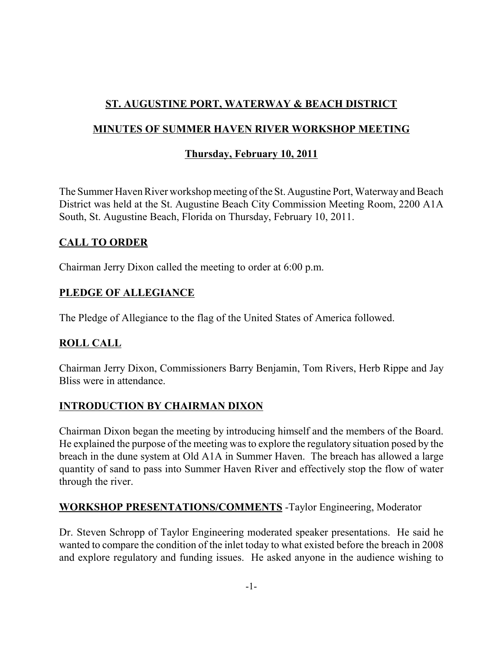## **ST. AUGUSTINE PORT, WATERWAY & BEACH DISTRICT**

## **MINUTES OF SUMMER HAVEN RIVER WORKSHOP MEETING**

## **Thursday, February 10, 2011**

The Summer Haven River workshop meeting of the St. Augustine Port, Waterway and Beach District was held at the St. Augustine Beach City Commission Meeting Room, 2200 A1A South, St. Augustine Beach, Florida on Thursday, February 10, 2011.

### **CALL TO ORDER**

Chairman Jerry Dixon called the meeting to order at 6:00 p.m.

## **PLEDGE OF ALLEGIANCE**

The Pledge of Allegiance to the flag of the United States of America followed.

## **ROLL CALL**

Chairman Jerry Dixon, Commissioners Barry Benjamin, Tom Rivers, Herb Rippe and Jay Bliss were in attendance.

## **INTRODUCTION BY CHAIRMAN DIXON**

Chairman Dixon began the meeting by introducing himself and the members of the Board. He explained the purpose of the meeting was to explore the regulatory situation posed by the breach in the dune system at Old A1A in Summer Haven. The breach has allowed a large quantity of sand to pass into Summer Haven River and effectively stop the flow of water through the river.

## **WORKSHOP PRESENTATIONS/COMMENTS** -Taylor Engineering, Moderator

Dr. Steven Schropp of Taylor Engineering moderated speaker presentations. He said he wanted to compare the condition of the inlet today to what existed before the breach in 2008 and explore regulatory and funding issues. He asked anyone in the audience wishing to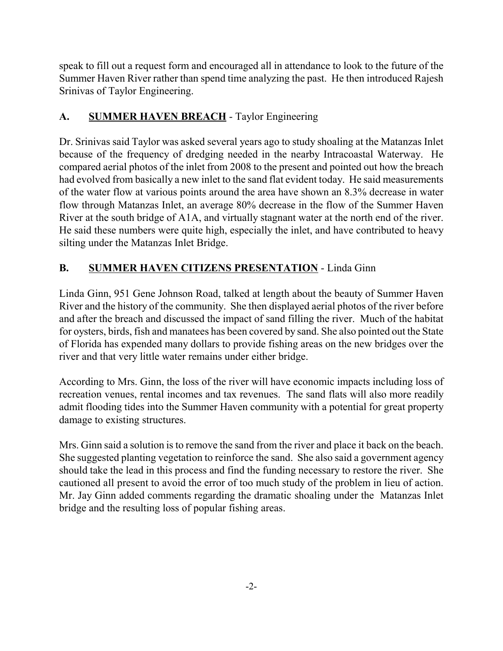speak to fill out a request form and encouraged all in attendance to look to the future of the Summer Haven River rather than spend time analyzing the past. He then introduced Rajesh Srinivas of Taylor Engineering.

# A. **SUMMER HAVEN BREACH** - Taylor Engineering

Dr. Srinivas said Taylor was asked several years ago to study shoaling at the Matanzas Inlet because of the frequency of dredging needed in the nearby Intracoastal Waterway. He compared aerial photos of the inlet from 2008 to the present and pointed out how the breach had evolved from basically a new inlet to the sand flat evident today. He said measurements of the water flow at various points around the area have shown an 8.3% decrease in water flow through Matanzas Inlet, an average 80% decrease in the flow of the Summer Haven River at the south bridge of A1A, and virtually stagnant water at the north end of the river. He said these numbers were quite high, especially the inlet, and have contributed to heavy silting under the Matanzas Inlet Bridge.

# **B. SUMMER HAVEN CITIZENS PRESENTATION** - Linda Ginn

Linda Ginn, 951 Gene Johnson Road, talked at length about the beauty of Summer Haven River and the history of the community. She then displayed aerial photos of the river before and after the breach and discussed the impact of sand filling the river. Much of the habitat for oysters, birds, fish and manatees has been covered by sand. She also pointed out the State of Florida has expended many dollars to provide fishing areas on the new bridges over the river and that very little water remains under either bridge.

According to Mrs. Ginn, the loss of the river will have economic impacts including loss of recreation venues, rental incomes and tax revenues. The sand flats will also more readily admit flooding tides into the Summer Haven community with a potential for great property damage to existing structures.

Mrs. Ginn said a solution is to remove the sand from the river and place it back on the beach. She suggested planting vegetation to reinforce the sand. She also said a government agency should take the lead in this process and find the funding necessary to restore the river. She cautioned all present to avoid the error of too much study of the problem in lieu of action. Mr. Jay Ginn added comments regarding the dramatic shoaling under the Matanzas Inlet bridge and the resulting loss of popular fishing areas.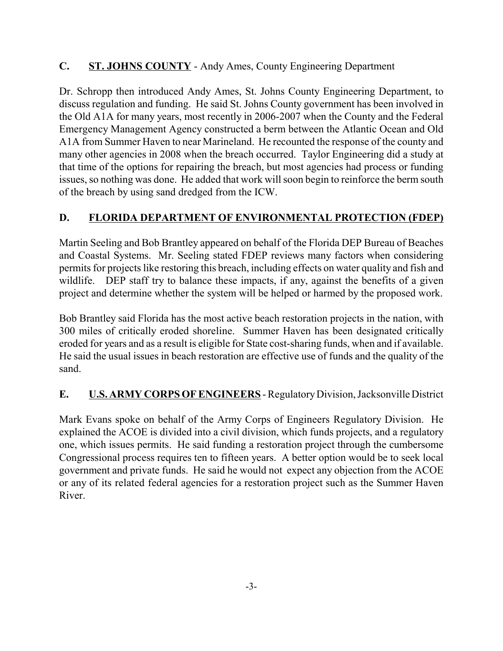## **C. ST. JOHNS COUNTY** - Andy Ames, County Engineering Department

Dr. Schropp then introduced Andy Ames, St. Johns County Engineering Department, to discuss regulation and funding. He said St. Johns County government has been involved in the Old A1A for many years, most recently in 2006-2007 when the County and the Federal Emergency Management Agency constructed a berm between the Atlantic Ocean and Old A1A from Summer Haven to near Marineland. He recounted the response of the county and many other agencies in 2008 when the breach occurred. Taylor Engineering did a study at that time of the options for repairing the breach, but most agencies had process or funding issues, so nothing was done. He added that work will soon begin to reinforce the berm south of the breach by using sand dredged from the ICW.

### **D. FLORIDA DEPARTMENT OF ENVIRONMENTAL PROTECTION (FDEP)**

Martin Seeling and Bob Brantley appeared on behalf of the Florida DEP Bureau of Beaches and Coastal Systems. Mr. Seeling stated FDEP reviews many factors when considering permits for projects like restoring this breach, including effects on water quality and fish and wildlife. DEP staff try to balance these impacts, if any, against the benefits of a given project and determine whether the system will be helped or harmed by the proposed work.

Bob Brantley said Florida has the most active beach restoration projects in the nation, with 300 miles of critically eroded shoreline. Summer Haven has been designated critically eroded for years and as a result is eligible for State cost-sharing funds, when and if available. He said the usual issues in beach restoration are effective use of funds and the quality of the sand.

#### **E. U.S. ARMY CORPS OF ENGINEERS** - Regulatory Division, Jacksonville District

Mark Evans spoke on behalf of the Army Corps of Engineers Regulatory Division. He explained the ACOE is divided into a civil division, which funds projects, and a regulatory one, which issues permits. He said funding a restoration project through the cumbersome Congressional process requires ten to fifteen years. A better option would be to seek local government and private funds. He said he would not expect any objection from the ACOE or any of its related federal agencies for a restoration project such as the Summer Haven River.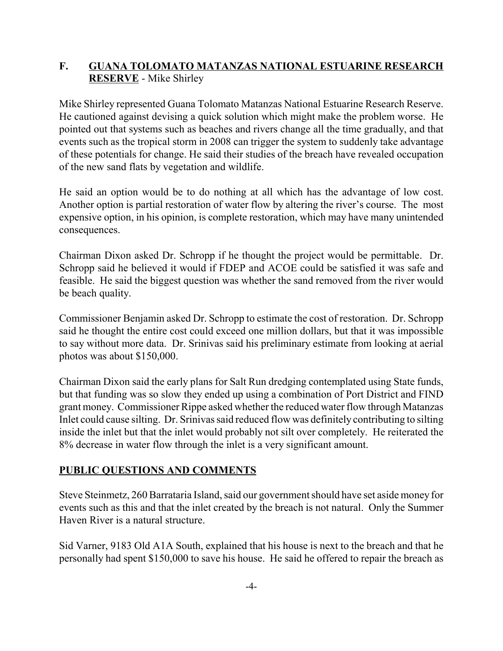## **F. GUANA TOLOMATO MATANZAS NATIONAL ESTUARINE RESEARCH RESERVE** - Mike Shirley

Mike Shirley represented Guana Tolomato Matanzas National Estuarine Research Reserve. He cautioned against devising a quick solution which might make the problem worse. He pointed out that systems such as beaches and rivers change all the time gradually, and that events such as the tropical storm in 2008 can trigger the system to suddenly take advantage of these potentials for change. He said their studies of the breach have revealed occupation of the new sand flats by vegetation and wildlife.

He said an option would be to do nothing at all which has the advantage of low cost. Another option is partial restoration of water flow by altering the river's course. The most expensive option, in his opinion, is complete restoration, which may have many unintended consequences.

Chairman Dixon asked Dr. Schropp if he thought the project would be permittable. Dr. Schropp said he believed it would if FDEP and ACOE could be satisfied it was safe and feasible. He said the biggest question was whether the sand removed from the river would be beach quality.

Commissioner Benjamin asked Dr. Schropp to estimate the cost of restoration. Dr. Schropp said he thought the entire cost could exceed one million dollars, but that it was impossible to say without more data. Dr. Srinivas said his preliminary estimate from looking at aerial photos was about \$150,000.

Chairman Dixon said the early plans for Salt Run dredging contemplated using State funds, but that funding was so slow they ended up using a combination of Port District and FIND grant money. Commissioner Rippe asked whether the reduced water flow through Matanzas Inlet could cause silting. Dr. Srinivas said reduced flow was definitely contributing to silting inside the inlet but that the inlet would probably not silt over completely. He reiterated the 8% decrease in water flow through the inlet is a very significant amount.

## **PUBLIC QUESTIONS AND COMMENTS**

Steve Steinmetz, 260 Barrataria Island, said our government should have set aside money for events such as this and that the inlet created by the breach is not natural. Only the Summer Haven River is a natural structure.

Sid Varner, 9183 Old A1A South, explained that his house is next to the breach and that he personally had spent \$150,000 to save his house. He said he offered to repair the breach as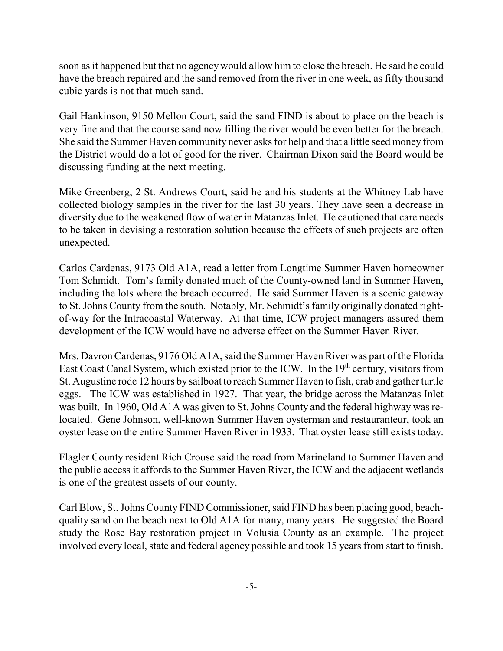soon as it happened but that no agency would allow him to close the breach. He said he could have the breach repaired and the sand removed from the river in one week, as fifty thousand cubic yards is not that much sand.

Gail Hankinson, 9150 Mellon Court, said the sand FIND is about to place on the beach is very fine and that the course sand now filling the river would be even better for the breach. She said the Summer Haven community never asks for help and that a little seed money from the District would do a lot of good for the river. Chairman Dixon said the Board would be discussing funding at the next meeting.

Mike Greenberg, 2 St. Andrews Court, said he and his students at the Whitney Lab have collected biology samples in the river for the last 30 years. They have seen a decrease in diversity due to the weakened flow of water in Matanzas Inlet. He cautioned that care needs to be taken in devising a restoration solution because the effects of such projects are often unexpected.

Carlos Cardenas, 9173 Old A1A, read a letter from Longtime Summer Haven homeowner Tom Schmidt. Tom's family donated much of the County-owned land in Summer Haven, including the lots where the breach occurred. He said Summer Haven is a scenic gateway to St. Johns County from the south. Notably, Mr. Schmidt's family originally donated rightof-way for the Intracoastal Waterway. At that time, ICW project managers assured them development of the ICW would have no adverse effect on the Summer Haven River.

Mrs. Davron Cardenas, 9176 Old A1A, said the Summer Haven River was part of the Florida East Coast Canal System, which existed prior to the ICW. In the 19<sup>th</sup> century, visitors from St. Augustine rode 12 hours by sailboat to reach Summer Haven to fish, crab and gather turtle eggs. The ICW was established in 1927. That year, the bridge across the Matanzas Inlet was built. In 1960, Old A1A was given to St. Johns County and the federal highway was relocated. Gene Johnson, well-known Summer Haven oysterman and restauranteur, took an oyster lease on the entire Summer Haven River in 1933. That oyster lease still exists today.

Flagler County resident Rich Crouse said the road from Marineland to Summer Haven and the public access it affords to the Summer Haven River, the ICW and the adjacent wetlands is one of the greatest assets of our county.

Carl Blow, St. Johns County FIND Commissioner, said FIND has been placing good, beachquality sand on the beach next to Old A1A for many, many years. He suggested the Board study the Rose Bay restoration project in Volusia County as an example. The project involved every local, state and federal agency possible and took 15 years from start to finish.